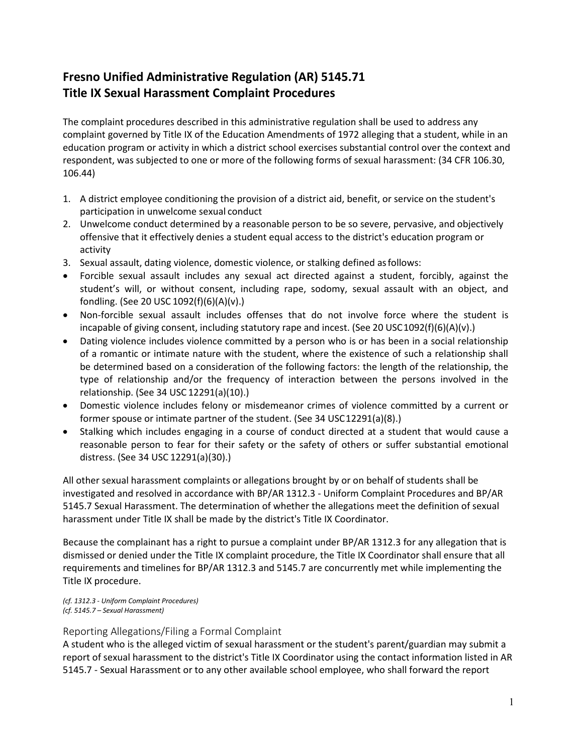# **Fresno Unified Administrative Regulation (AR) 5145.71 Title IX Sexual Harassment Complaint Procedures**

The complaint procedures described in this administrative regulation shall be used to address any complaint governed by Title IX of the Education Amendments of 1972 alleging that a student, while in an education program or activity in which a district school exercises substantial control over the context and respondent, was subjected to one or more of the following forms of sexual harassment: (34 CFR 106.30, 106.44)

- 1. A district employee conditioning the provision of a district aid, benefit, or service on the student's participation in unwelcome sexual conduct
- 2. Unwelcome conduct determined by a reasonable person to be so severe, pervasive, and objectively offensive that it effectively denies a student equal access to the district's education program or activity
- 3. Sexual assault, dating violence, domestic violence, or stalking defined asfollows:
- Forcible sexual assault includes any sexual act directed against a student, forcibly, against the student's will, or without consent, including rape, sodomy, sexual assault with an object, and fondling. (See 20 USC 1092(f)(6)(A)(v).)
- Non-forcible sexual assault includes offenses that do not involve force where the student is incapable of giving consent, including statutory rape and incest. (See 20 USC 1092(f)(6)(A)(v).)
- Dating violence includes violence committed by a person who is or has been in a social relationship of a romantic or intimate nature with the student, where the existence of such a relationship shall be determined based on a consideration of the following factors: the length of the relationship, the type of relationship and/or the frequency of interaction between the persons involved in the relationship. (See 34 USC 12291(a)(10).)
- Domestic violence includes felony or misdemeanor crimes of violence committed by a current or former spouse or intimate partner of the student. (See 34 USC12291(a)(8).)
- Stalking which includes engaging in a course of conduct directed at a student that would cause a reasonable person to fear for their safety or the safety of others or suffer substantial emotional distress. (See 34 USC 12291(a)(30).)

All other sexual harassment complaints or allegations brought by or on behalf of students shall be investigated and resolved in accordance with BP/AR 1312.3 - Uniform Complaint Procedures and BP/AR 5145.7 Sexual Harassment. The determination of whether the allegations meet the definition of sexual harassment under Title IX shall be made by the district's Title IX Coordinator.

Because the complainant has a right to pursue a complaint under BP/AR 1312.3 for any allegation that is dismissed or denied under the Title IX complaint procedure, the Title IX Coordinator shall ensure that all requirements and timelines for BP/AR 1312.3 and 5145.7 are concurrently met while implementing the Title IX procedure.

*(cf. 1312.3 - Uniform Complaint Procedures) (cf. 5145.7 – Sexual Harassment)*

# Reporting Allegations/Filing a Formal Complaint

A student who is the alleged victim of sexual harassment or the student's parent/guardian may submit a report of sexual harassment to the district's Title IX Coordinator using the contact information listed in AR 5145.7 - Sexual Harassment or to any other available school employee, who shall forward the report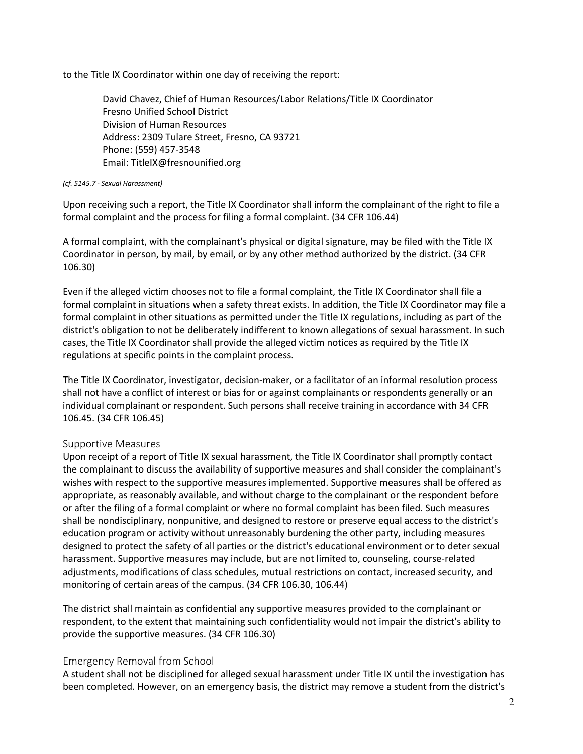to the Title IX Coordinator within one day of receiving the report:

David Chavez, Chief of Human Resources/Labor Relations/Title IX Coordinator Fresno Unified School District Division of Human Resources Address: 2309 Tulare Street, Fresno, CA 93721 Phone: (559) 457-3548 Email[: TitleIX@fresnounified.org](mailto:TitleIX@fresnounified.org)

#### *(cf. 5145.7 - Sexual Harassment)*

Upon receiving such a report, the Title IX Coordinator shall inform the complainant of the right to file a formal complaint and the process for filing a formal complaint. (34 CFR 106.44)

A formal complaint, with the complainant's physical or digital signature, may be filed with the Title IX Coordinator in person, by mail, by email, or by any other method authorized by the district. (34 CFR 106.30)

Even if the alleged victim chooses not to file a formal complaint, the Title IX Coordinator shall file a formal complaint in situations when a safety threat exists. In addition, the Title IX Coordinator may file a formal complaint in other situations as permitted under the Title IX regulations, including as part of the district's obligation to not be deliberately indifferent to known allegations of sexual harassment. In such cases, the Title IX Coordinator shall provide the alleged victim notices as required by the Title IX regulations at specific points in the complaint process.

The Title IX Coordinator, investigator, decision-maker, or a facilitator of an informal resolution process shall not have a conflict of interest or bias for or against complainants or respondents generally or an individual complainant or respondent. Such persons shall receive training in accordance with 34 CFR 106.45. (34 CFR 106.45)

#### Supportive Measures

Upon receipt of a report of Title IX sexual harassment, the Title IX Coordinator shall promptly contact the complainant to discuss the availability of supportive measures and shall consider the complainant's wishes with respect to the supportive measures implemented. Supportive measures shall be offered as appropriate, as reasonably available, and without charge to the complainant or the respondent before or after the filing of a formal complaint or where no formal complaint has been filed. Such measures shall be nondisciplinary, nonpunitive, and designed to restore or preserve equal access to the district's education program or activity without unreasonably burdening the other party, including measures designed to protect the safety of all parties or the district's educational environment or to deter sexual harassment. Supportive measures may include, but are not limited to, counseling, course-related adjustments, modifications of class schedules, mutual restrictions on contact, increased security, and monitoring of certain areas of the campus. (34 CFR 106.30, 106.44)

The district shall maintain as confidential any supportive measures provided to the complainant or respondent, to the extent that maintaining such confidentiality would not impair the district's ability to provide the supportive measures. (34 CFR 106.30)

#### Emergency Removal from School

A student shall not be disciplined for alleged sexual harassment under Title IX until the investigation has been completed. However, on an emergency basis, the district may remove a student from the district's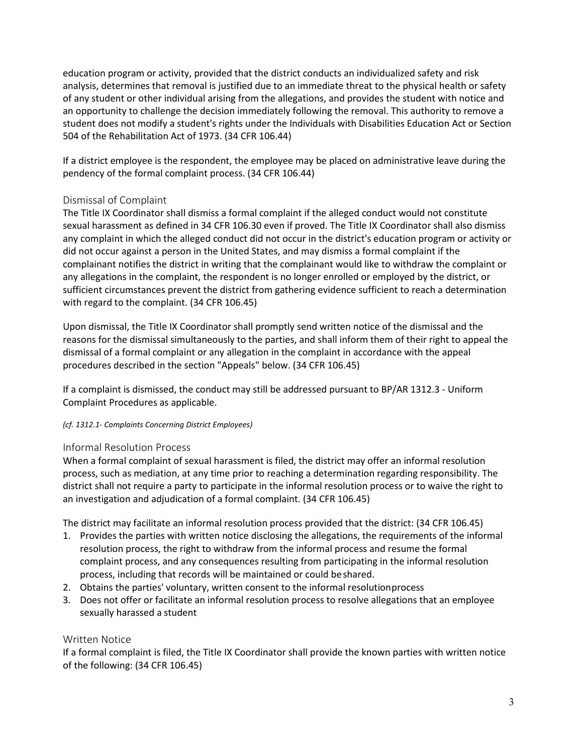education program or activity, provided that the district conducts an individualized safety and risk analysis, determines that removal is justified due to an immediate threat to the physical health or safety of any student or other individual arising from the allegations, and provides the student with notice and an opportunity to challenge the decision immediately following the removal. This authority to remove a student does not modify a student's rights under the Individuals with Disabilities Education Act or Section 504 of the Rehabilitation Act of 1973. (34 CFR 106.44)

If a district employee is the respondent, the employee may be placed on administrative leave during the pendency of the formal complaint process. (34 CFR 106.44)

# Dismissal of Complaint

The Title IX Coordinator shall dismiss a formal complaint if the alleged conduct would not constitute sexual harassment as defined in 34 CFR 106.30 even if proved. The Title IX Coordinator shall also dismiss any complaint in which the alleged conduct did not occur in the district's education program or activity or did not occur against a person in the United States, and may dismiss a formal complaint if the complainant notifies the district in writing that the complainant would like to withdraw the complaint or any allegations in the complaint, the respondent is no longer enrolled or employed by the district, or sufficient circumstances prevent the district from gathering evidence sufficient to reach a determination with regard to the complaint. (34 CFR 106.45)

Upon dismissal, the Title IX Coordinator shall promptly send written notice of the dismissal and the reasons for the dismissal simultaneously to the parties, and shall inform them of their right to appeal the dismissal of a formal complaint or any allegation in the complaint in accordance with the appeal procedures described in the section "Appeals" below. (34 CFR 106.45)

If a complaint is dismissed, the conduct may still be addressed pursuant to BP/AR 1312.3 - Uniform Complaint Procedures as applicable.

#### *(cf. 1312.1- Complaints Concerning District Employees)*

# Informal Resolution Process

When a formal complaint of sexual harassment is filed, the district may offer an informal resolution process, such as mediation, at any time prior to reaching a determination regarding responsibility. The district shall not require a party to participate in the informal resolution process or to waive the right to an investigation and adjudication of a formal complaint. (34 CFR 106.45)

The district may facilitate an informal resolution process provided that the district: (34 CFR 106.45)

- 1. Provides the parties with written notice disclosing the allegations, the requirements of the informal resolution process, the right to withdraw from the informal process and resume the formal complaint process, and any consequences resulting from participating in the informal resolution process, including that records will be maintained or could beshared.
- 2. Obtains the parties' voluntary, written consent to the informal resolutionprocess
- 3. Does not offer or facilitate an informal resolution process to resolve allegations that an employee sexually harassed a student

# Written Notice

If a formal complaint is filed, the Title IX Coordinator shall provide the known parties with written notice of the following: (34 CFR 106.45)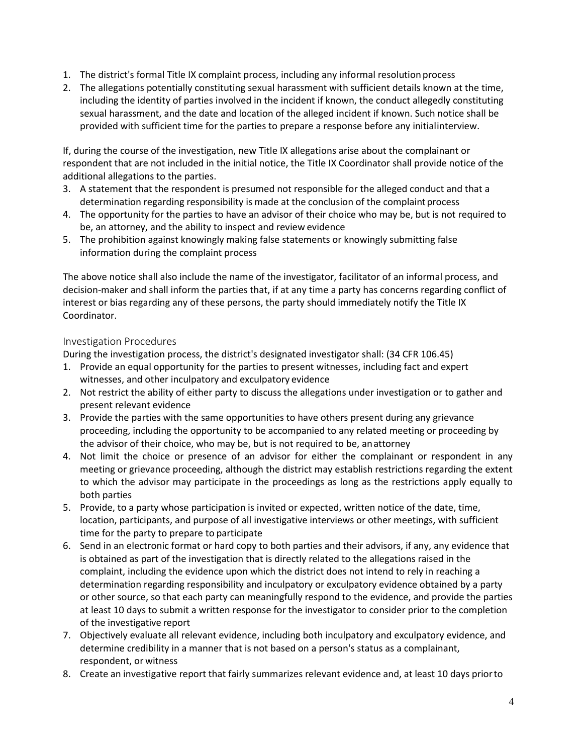- 1. The district's formal Title IX complaint process, including any informal resolution process
- 2. The allegations potentially constituting sexual harassment with sufficient details known at the time, including the identity of parties involved in the incident if known, the conduct allegedly constituting sexual harassment, and the date and location of the alleged incident if known. Such notice shall be provided with sufficient time for the parties to prepare a response before any initialinterview.

If, during the course of the investigation, new Title IX allegations arise about the complainant or respondent that are not included in the initial notice, the Title IX Coordinator shall provide notice of the additional allegations to the parties.

- 3. A statement that the respondent is presumed not responsible for the alleged conduct and that a determination regarding responsibility is made at the conclusion of the complaint process
- 4. The opportunity for the parties to have an advisor of their choice who may be, but is not required to be, an attorney, and the ability to inspect and review evidence
- 5. The prohibition against knowingly making false statements or knowingly submitting false information during the complaint process

The above notice shall also include the name of the investigator, facilitator of an informal process, and decision-maker and shall inform the parties that, if at any time a party has concerns regarding conflict of interest or bias regarding any of these persons, the party should immediately notify the Title IX Coordinator.

# Investigation Procedures

During the investigation process, the district's designated investigator shall: (34 CFR 106.45)

- 1. Provide an equal opportunity for the parties to present witnesses, including fact and expert witnesses, and other inculpatory and exculpatory evidence
- 2. Not restrict the ability of either party to discuss the allegations under investigation or to gather and present relevant evidence
- 3. Provide the parties with the same opportunities to have others present during any grievance proceeding, including the opportunity to be accompanied to any related meeting or proceeding by the advisor of their choice, who may be, but is not required to be, anattorney
- 4. Not limit the choice or presence of an advisor for either the complainant or respondent in any meeting or grievance proceeding, although the district may establish restrictions regarding the extent to which the advisor may participate in the proceedings as long as the restrictions apply equally to both parties
- 5. Provide, to a party whose participation is invited or expected, written notice of the date, time, location, participants, and purpose of all investigative interviews or other meetings, with sufficient time for the party to prepare to participate
- 6. Send in an electronic format or hard copy to both parties and their advisors, if any, any evidence that is obtained as part of the investigation that is directly related to the allegations raised in the complaint, including the evidence upon which the district does not intend to rely in reaching a determination regarding responsibility and inculpatory or exculpatory evidence obtained by a party or other source, so that each party can meaningfully respond to the evidence, and provide the parties at least 10 days to submit a written response for the investigator to consider prior to the completion of the investigative report
- 7. Objectively evaluate all relevant evidence, including both inculpatory and exculpatory evidence, and determine credibility in a manner that is not based on a person's status as a complainant, respondent, or witness
- 8. Create an investigative report that fairly summarizes relevant evidence and, at least 10 days priorto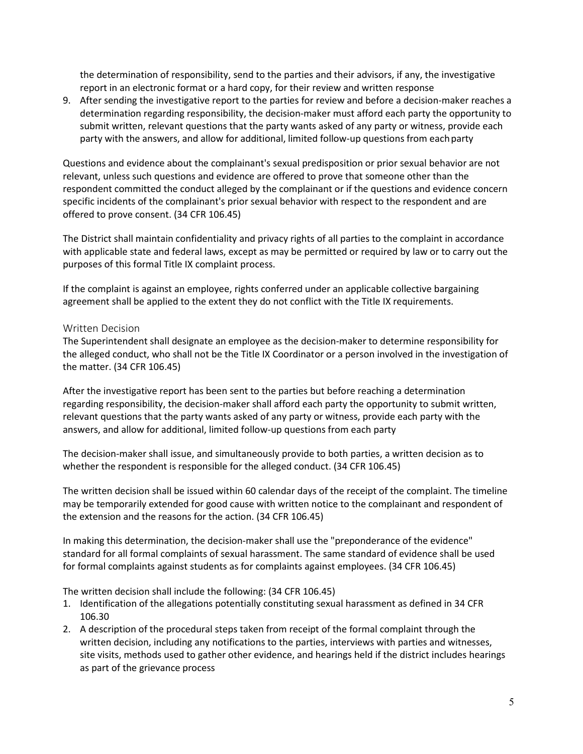the determination of responsibility, send to the parties and their advisors, if any, the investigative report in an electronic format or a hard copy, for their review and written response

9. After sending the investigative report to the parties for review and before a decision-maker reaches a determination regarding responsibility, the decision-maker must afford each party the opportunity to submit written, relevant questions that the party wants asked of any party or witness, provide each party with the answers, and allow for additional, limited follow-up questions from eachparty

Questions and evidence about the complainant's sexual predisposition or prior sexual behavior are not relevant, unless such questions and evidence are offered to prove that someone other than the respondent committed the conduct alleged by the complainant or if the questions and evidence concern specific incidents of the complainant's prior sexual behavior with respect to the respondent and are offered to prove consent. (34 CFR 106.45)

The District shall maintain confidentiality and privacy rights of all parties to the complaint in accordance with applicable state and federal laws, except as may be permitted or required by law or to carry out the purposes of this formal Title IX complaint process.

If the complaint is against an employee, rights conferred under an applicable collective bargaining agreement shall be applied to the extent they do not conflict with the Title IX requirements.

#### Written Decision

The Superintendent shall designate an employee as the decision-maker to determine responsibility for the alleged conduct, who shall not be the Title IX Coordinator or a person involved in the investigation of the matter. (34 CFR 106.45)

After the investigative report has been sent to the parties but before reaching a determination regarding responsibility, the decision-maker shall afford each party the opportunity to submit written, relevant questions that the party wants asked of any party or witness, provide each party with the answers, and allow for additional, limited follow-up questions from each party

The decision-maker shall issue, and simultaneously provide to both parties, a written decision as to whether the respondent is responsible for the alleged conduct. (34 CFR 106.45)

The written decision shall be issued within 60 calendar days of the receipt of the complaint. The timeline may be temporarily extended for good cause with written notice to the complainant and respondent of the extension and the reasons for the action. (34 CFR 106.45)

In making this determination, the decision-maker shall use the "preponderance of the evidence" standard for all formal complaints of sexual harassment. The same standard of evidence shall be used for formal complaints against students as for complaints against employees. (34 CFR 106.45)

The written decision shall include the following: (34 CFR 106.45)

- 1. Identification of the allegations potentially constituting sexual harassment as defined in 34 CFR 106.30
- 2. A description of the procedural steps taken from receipt of the formal complaint through the written decision, including any notifications to the parties, interviews with parties and witnesses, site visits, methods used to gather other evidence, and hearings held if the district includes hearings as part of the grievance process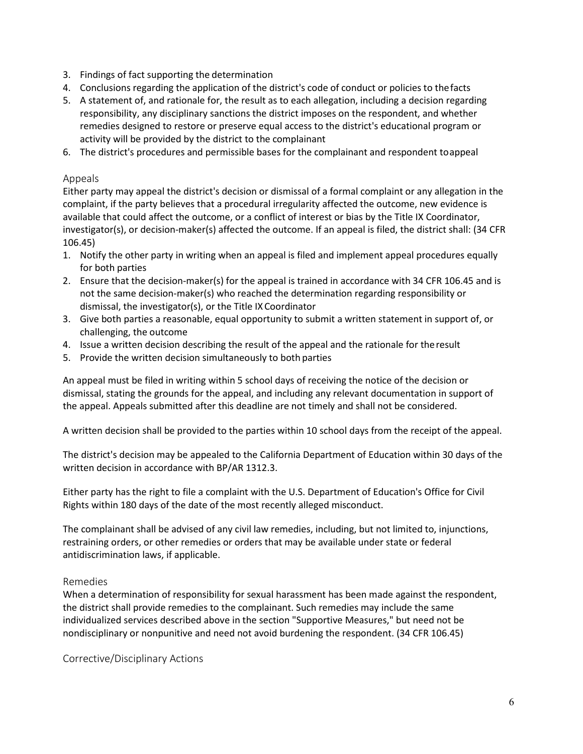- 3. Findings of fact supporting the determination
- 4. Conclusions regarding the application of the district's code of conduct or policies to thefacts
- 5. A statement of, and rationale for, the result as to each allegation, including a decision regarding responsibility, any disciplinary sanctions the district imposes on the respondent, and whether remedies designed to restore or preserve equal access to the district's educational program or activity will be provided by the district to the complainant
- 6. The district's procedures and permissible bases for the complainant and respondent toappeal

#### Appeals

Either party may appeal the district's decision or dismissal of a formal complaint or any allegation in the complaint, if the party believes that a procedural irregularity affected the outcome, new evidence is available that could affect the outcome, or a conflict of interest or bias by the Title IX Coordinator, investigator(s), or decision-maker(s) affected the outcome. If an appeal is filed, the district shall: (34 CFR 106.45)

- 1. Notify the other party in writing when an appeal is filed and implement appeal procedures equally for both parties
- 2. Ensure that the decision-maker(s) for the appeal is trained in accordance with 34 CFR 106.45 and is not the same decision-maker(s) who reached the determination regarding responsibility or dismissal, the investigator(s), or the Title IX Coordinator
- 3. Give both parties a reasonable, equal opportunity to submit a written statement in support of, or challenging, the outcome
- 4. Issue a written decision describing the result of the appeal and the rationale for theresult
- 5. Provide the written decision simultaneously to both parties

An appeal must be filed in writing within 5 school days of receiving the notice of the decision or dismissal, stating the grounds for the appeal, and including any relevant documentation in support of the appeal. Appeals submitted after this deadline are not timely and shall not be considered.

A written decision shall be provided to the parties within 10 school days from the receipt of the appeal.

The district's decision may be appealed to the California Department of Education within 30 days of the written decision in accordance with BP/AR 1312.3.

Either party has the right to file a complaint with the U.S. Department of Education's Office for Civil Rights within 180 days of the date of the most recently alleged misconduct.

The complainant shall be advised of any civil law remedies, including, but not limited to, injunctions, restraining orders, or other remedies or orders that may be available under state or federal antidiscrimination laws, if applicable.

# Remedies

When a determination of responsibility for sexual harassment has been made against the respondent, the district shall provide remedies to the complainant. Such remedies may include the same individualized services described above in the section "Supportive Measures," but need not be nondisciplinary or nonpunitive and need not avoid burdening the respondent. (34 CFR 106.45)

Corrective/Disciplinary Actions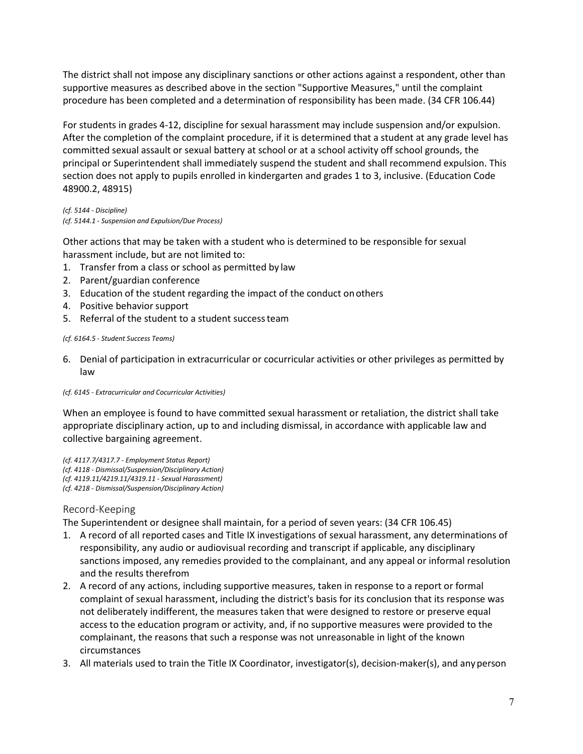The district shall not impose any disciplinary sanctions or other actions against a respondent, other than supportive measures as described above in the section "Supportive Measures," until the complaint procedure has been completed and a determination of responsibility has been made. (34 CFR 106.44)

For students in grades 4-12, discipline for sexual harassment may include suspension and/or expulsion. After the completion of the complaint procedure, if it is determined that a student at any grade level has committed sexual assault or sexual battery at school or at a school activity off school grounds, the principal or Superintendent shall immediately suspend the student and shall recommend expulsion. This section does not apply to pupils enrolled in kindergarten and grades 1 to 3, inclusive. (Education Code 48900.2, 48915)

*(cf. 5144 - Discipline) (cf. 5144.1 - Suspension and Expulsion/Due Process)*

Other actions that may be taken with a student who is determined to be responsible for sexual harassment include, but are not limited to:

- 1. Transfer from a class or school as permitted by law
- 2. Parent/guardian conference
- 3. Education of the student regarding the impact of the conduct onothers
- 4. Positive behavior support
- 5. Referral of the student to a student successteam

*(cf. 6164.5 - Student Success Teams)*

- 6. Denial of participation in extracurricular or cocurricular activities or other privileges as permitted by law
- *(cf. 6145 - Extracurricular and Cocurricular Activities)*

When an employee is found to have committed sexual harassment or retaliation, the district shall take appropriate disciplinary action, up to and including dismissal, in accordance with applicable law and collective bargaining agreement.

*(cf. 4117.7/4317.7 - Employment Status Report) (cf. 4118 - Dismissal/Suspension/Disciplinary Action) (cf. 4119.11/4219.11/4319.11 - Sexual Harassment) (cf. 4218 - Dismissal/Suspension/Disciplinary Action)*

# Record-Keeping

The Superintendent or designee shall maintain, for a period of seven years: (34 CFR 106.45)

- 1. A record of all reported cases and Title IX investigations of sexual harassment, any determinations of responsibility, any audio or audiovisual recording and transcript if applicable, any disciplinary sanctions imposed, any remedies provided to the complainant, and any appeal or informal resolution and the results therefrom
- 2. A record of any actions, including supportive measures, taken in response to a report or formal complaint of sexual harassment, including the district's basis for its conclusion that its response was not deliberately indifferent, the measures taken that were designed to restore or preserve equal access to the education program or activity, and, if no supportive measures were provided to the complainant, the reasons that such a response was not unreasonable in light of the known circumstances
- 3. All materials used to train the Title IX Coordinator, investigator(s), decision-maker(s), and anyperson